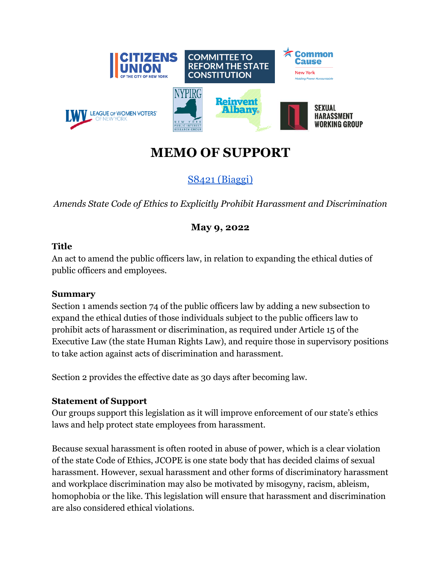

# **MEMO OF SUPPORT**

S8421 [\(Biaggi\)](https://www.nysenate.gov/legislation/bills/2021/s8421)

*Amends State Code of Ethics to Explicitly Prohibit Harassment and Discrimination*

## **May 9, 2022**

#### **Title**

An act to amend the public officers law, in relation to expanding the ethical duties of public officers and employees.

#### **Summary**

Section 1 amends section 74 of the public officers law by adding a new subsection to expand the ethical duties of those individuals subject to the public officers law to prohibit acts of harassment or discrimination, as required under Article 15 of the Executive Law (the state Human Rights Law), and require those in supervisory positions to take action against acts of discrimination and harassment.

Section 2 provides the effective date as 30 days after becoming law.

### **Statement of Support**

Our groups support this legislation as it will improve enforcement of our state's ethics laws and help protect state employees from harassment.

Because sexual harassment is often rooted in abuse of power, which is a clear violation of the state Code of Ethics, JCOPE is one state body that has decided claims of sexual harassment. However, sexual harassment and other forms of discriminatory harassment and workplace discrimination may also be motivated by misogyny, racism, ableism, homophobia or the like. This legislation will ensure that harassment and discrimination are also considered ethical violations.